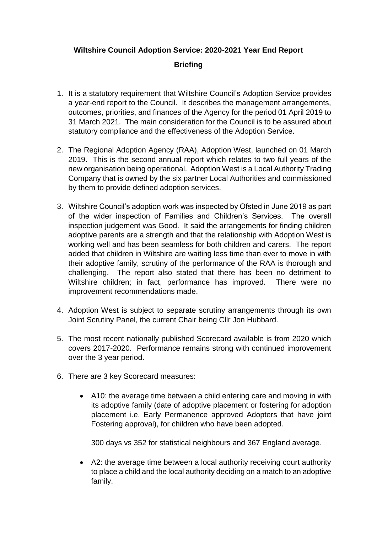## **Wiltshire Council Adoption Service: 2020-2021 Year End Report**

## **Briefing**

- 1. It is a statutory requirement that Wiltshire Council's Adoption Service provides a year-end report to the Council. It describes the management arrangements, outcomes, priorities, and finances of the Agency for the period 01 April 2019 to 31 March 2021. The main consideration for the Council is to be assured about statutory compliance and the effectiveness of the Adoption Service.
- 2. The Regional Adoption Agency (RAA), Adoption West, launched on 01 March 2019. This is the second annual report which relates to two full years of the new organisation being operational. Adoption West is a Local Authority Trading Company that is owned by the six partner Local Authorities and commissioned by them to provide defined adoption services.
- 3. Wiltshire Council's adoption work was inspected by Ofsted in June 2019 as part of the wider inspection of Families and Children's Services. The overall inspection judgement was Good. It said the arrangements for finding children adoptive parents are a strength and that the relationship with Adoption West is working well and has been seamless for both children and carers. The report added that children in Wiltshire are waiting less time than ever to move in with their adoptive family, scrutiny of the performance of the RAA is thorough and challenging. The report also stated that there has been no detriment to Wiltshire children; in fact, performance has improved. There were no improvement recommendations made.
- 4. Adoption West is subject to separate scrutiny arrangements through its own Joint Scrutiny Panel, the current Chair being Cllr Jon Hubbard.
- 5. The most recent nationally published Scorecard available is from 2020 which covers 2017-2020. Performance remains strong with continued improvement over the 3 year period.
- 6. There are 3 key Scorecard measures:
	- A10: the average time between a child entering care and moving in with its adoptive family (date of adoptive placement or fostering for adoption placement i.e. Early Permanence approved Adopters that have joint Fostering approval), for children who have been adopted.

300 days vs 352 for statistical neighbours and 367 England average.

 A2: the average time between a local authority receiving court authority to place a child and the local authority deciding on a match to an adoptive family.